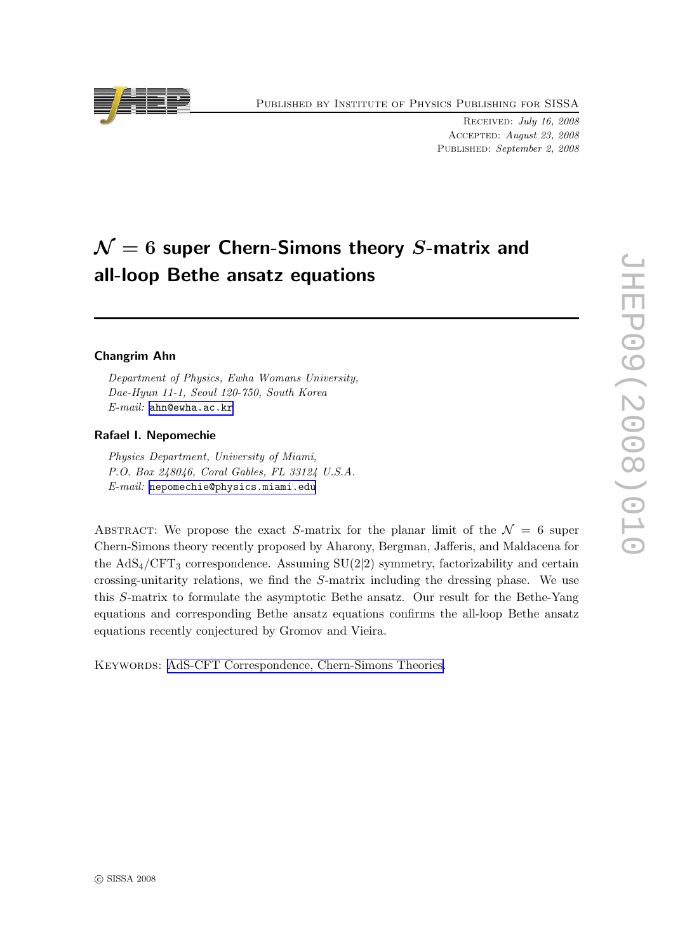Published by Institute of Physics Publishing for SISSA

Received: July 16, 2008 Accepted: August 23, 2008 PUBLISHED: September 2, 2008

# $\mathcal{N}=6$  super Chern-Simons theory S-matrix and all-loop Bethe ansatz equations

## Changrim Ahn

Department of Physics, Ewha Womans University, Dae-Hyun 11-1, Seoul 120-750, South Korea E-mail: [ahn@ewha.ac.kr](mailto:ahn@ewha.ac.kr)

#### Rafael I. Nepomechie

Physics Department, University of Miami, P.O. Box 248046, Coral Gables, FL 33124 U.S.A. E-mail: [nepomechie@physics.miami.edu](mailto:nepomechie@physics.miami.edu)

ABSTRACT: We propose the exact S-matrix for the planar limit of the  $\mathcal{N} = 6$  super Chern-Simons theory recently proposed by Aharony, Bergman, Jafferis, and Maldacena for the  $AdS_4/CFT_3$  correspondence. Assuming  $SU(2|2)$  symmetry, factorizability and certain crossing-unitarity relations, we find the S-matrix including the dressing phase. We use this S-matrix to formulate the asymptotic Bethe ansatz. Our result for the Bethe-Yang equations and corresponding Bethe ansatz equations confirms the all-loop Bethe ansatz equations recently conjectured by Gromov and Vieira.

KEYWORDS: [AdS-CFT Correspondence, Chern-Simons Theories.](http://jhep.sissa.it/stdsearch)

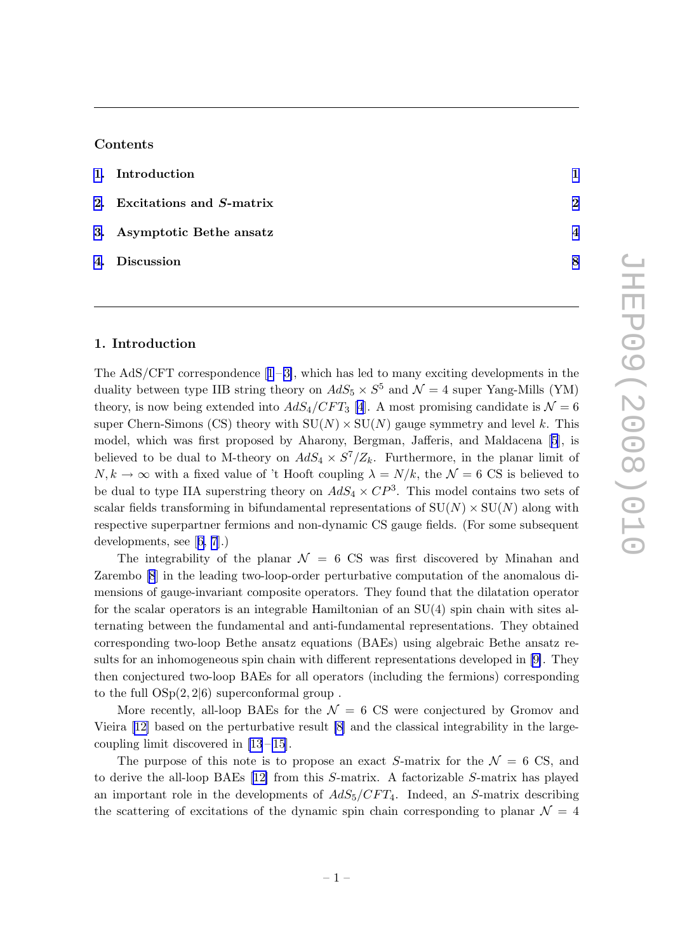## Contents

| 1. Introduction             |                          |
|-----------------------------|--------------------------|
| 2. Excitations and S-matrix | $\mathbf{p}$             |
| 3. Asymptotic Bethe ansatz  | $\boldsymbol{\varDelta}$ |
| 4. Discussion               | 8                        |

## 1. Introduction

TheAdS/CFT correspondence  $[1-3]$  $[1-3]$  $[1-3]$ , which has led to many exciting developments in the duality between type IIB string theory on  $AdS_5 \times S^5$  and  $\mathcal{N}=4$  super Yang-Mills (YM) theory, is now being extended into  $AdS_4/CFT_3$  [\[4](#page-9-0)]. A most promising candidate is  $\mathcal{N}=6$ super Chern-Simons (CS) theory with  $SU(N) \times SU(N)$  gauge symmetry and level k. This model, which was first proposed by Aharony, Bergman, Jafferis, and Maldacena[[5](#page-9-0)], is believed to be dual to M-theory on  $AdS_4 \times S^7/\mathbb{Z}_k$ . Furthermore, in the planar limit of  $N, k \to \infty$  with a fixed value of 't Hooft coupling  $\lambda = N/k$ , the  $\mathcal{N} = 6 \text{ CS}$  is believed to be dual to type IIA superstring theory on  $AdS_4 \times CP^3$ . This model contains two sets of scalar fields transforming in bifundamental representations of  $SU(N) \times SU(N)$  along with respective superpartner fermions and non-dynamic CS gauge fields. (For some subsequent developments, see[[6,](#page-9-0) [7](#page-10-0)].)

The integrability of the planar  $\mathcal{N} = 6$  CS was first discovered by Minahan and Zarembo [\[8](#page-10-0)] in the leading two-loop-order perturbative computation of the anomalous dimensions of gauge-invariant composite operators. They found that the dilatation operator for the scalar operators is an integrable Hamiltonian of an SU(4) spin chain with sites alternating between the fundamental and anti-fundamental representations. They obtained corresponding two-loop Bethe ansatz equations (BAEs) using algebraic Bethe ansatz results for an inhomogeneous spin chain with different representations developed in [\[9\]](#page-10-0). They then conjectured two-loop BAEs for all operators (including the fermions) corresponding to the full  $OSp(2, 2|6)$  superconformal group.

More recently, all-loop BAEs for the  $\mathcal{N} = 6$  CS were conjectured by Gromov and Vieira[[12\]](#page-10-0) based on the perturbative result [\[8\]](#page-10-0) and the classical integrability in the largecoupling limit discovered in  $[13-15]$ .

The purpose of this note is to propose an exact S-matrix for the  $\mathcal{N} = 6 \text{ CS}$ , and to derive the all-loop BAEs[[12\]](#page-10-0) from this S-matrix. A factorizable S-matrix has played an important role in the developments of  $AdS_5/CFT_4$ . Indeed, an S-matrix describing the scattering of excitations of the dynamic spin chain corresponding to planar  $\mathcal{N} = 4$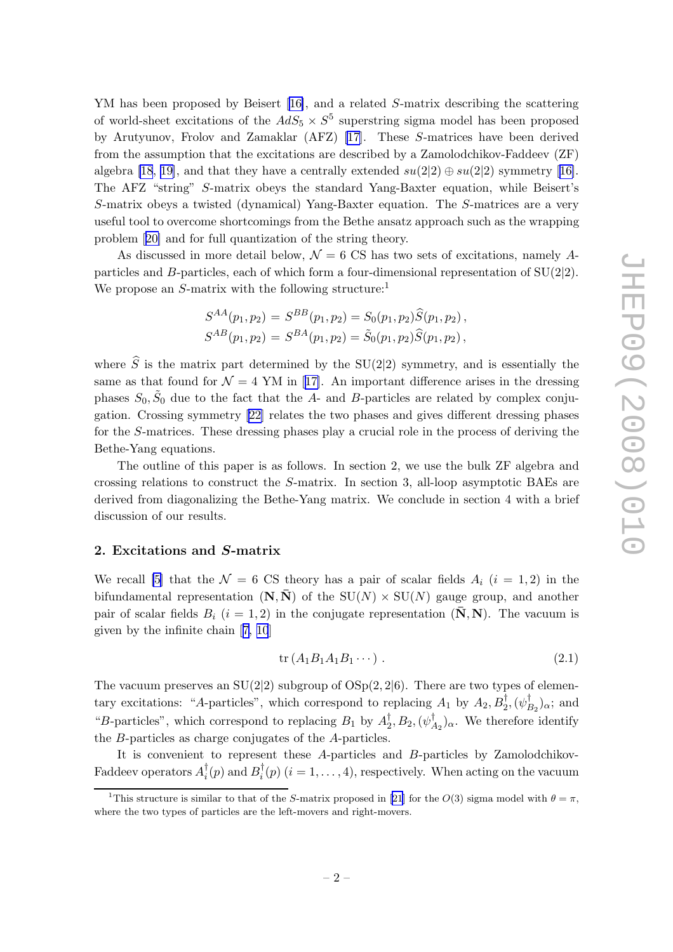<span id="page-2-0"></span>YM has been proposed by Beisert [\[16\]](#page-10-0), and a related S-matrix describing the scattering of world-sheet excitations of the  $AdS_5 \times S^5$  superstring sigma model has been proposed by Arutyunov, Frolov and Zamaklar (AFZ) [\[17\]](#page-10-0). These S-matrices have been derived from the assumption that the excitations are described by a Zamolodchikov-Faddeev (ZF) algebra [\[18](#page-10-0), [19\]](#page-10-0),and that they have a centrally extended  $su(2|2) \oplus su(2|2)$  symmetry [[16\]](#page-10-0). The AFZ "string" S-matrix obeys the standard Yang-Baxter equation, while Beisert's S-matrix obeys a twisted (dynamical) Yang-Baxter equation. The S-matrices are a very useful tool to overcome shortcomings from the Bethe ansatz approach such as the wrapping problem[[20\]](#page-10-0) and for full quantization of the string theory.

As discussed in more detail below,  $\mathcal{N} = 6$  CS has two sets of excitations, namely Aparticles and B-particles, each of which form a four-dimensional representation of  $SU(2|2)$ . We propose an  $S$ -matrix with the following structure:<sup>1</sup>

$$
S^{AA}(p_1, p_2) = S^{BB}(p_1, p_2) = S_0(p_1, p_2) \widehat{S}(p_1, p_2),
$$
  

$$
S^{AB}(p_1, p_2) = S^{BA}(p_1, p_2) = \widetilde{S}_0(p_1, p_2) \widehat{S}(p_1, p_2),
$$

where  $\hat{S}$  is the matrix part determined by the SU(2|2) symmetry, and is essentially the sameas that found for  $\mathcal{N} = 4$  YM in [[17\]](#page-10-0). An important difference arises in the dressing phases  $S_0$ ,  $\tilde{S}_0$  due to the fact that the A- and B-particles are related by complex conjugation. Crossing symmetry [\[22\]](#page-11-0) relates the two phases and gives different dressing phases for the S-matrices. These dressing phases play a crucial role in the process of deriving the Bethe-Yang equations.

The outline of this paper is as follows. In section 2, we use the bulk ZF algebra and crossing relations to construct the S-matrix. In section 3, all-loop asymptotic BAEs are derived from diagonalizing the Bethe-Yang matrix. We conclude in section 4 with a brief discussion of our results.

## 2. Excitations and S-matrix

We recall [\[5\]](#page-9-0) that the  $\mathcal{N} = 6$  CS theory has a pair of scalar fields  $A_i$  (i = 1, 2) in the bifundamental representation  $(N, \overline{N})$  of the  $SU(N) \times SU(N)$  gauge group, and another pair of scalar fields  $B_i$  (i = 1, 2) in the conjugate representation ( $\bar{N}$ , N). The vacuum is given by the infinite chain[[7, 10](#page-10-0)]

$$
\text{tr}\left(A_1B_1A_1B_1\cdots\right). \tag{2.1}
$$

The vacuum preserves an  $SU(2|2)$  subgroup of  $OSp(2, 2|6)$ . There are two types of elementary excitations: "A-particles", which correspond to replacing  $A_1$  by  $A_2, B_2^{\dagger}, (\psi_I^{\dagger})$  $B_2$ <sub>2</sub> $\alpha$ ; and "B-particles", which correspond to replacing  $B_1$  by  $A_2^{\dagger}$  $_2^\dagger,B_2,(\psi^\dagger_{A}$  $A_2$ )<sub>α</sub>. We therefore identify the B-particles as charge conjugates of the A-particles.

It is convenient to represent these A-particles and B-particles by Zamolodchikov-Faddeev operators  $A_i^{\dagger}$  $i^{\dagger}(p)$  and  $B_i^{\dagger}$  $i<sub>i</sub>(p)$   $(i = 1, ..., 4)$ , respectively. When acting on the vacuum

<sup>&</sup>lt;sup>1</sup>Thisstructure is similar to that of the S-matrix proposed in [[21](#page-11-0)] for the  $O(3)$  sigma model with  $\theta = \pi$ , where the two types of particles are the left-movers and right-movers.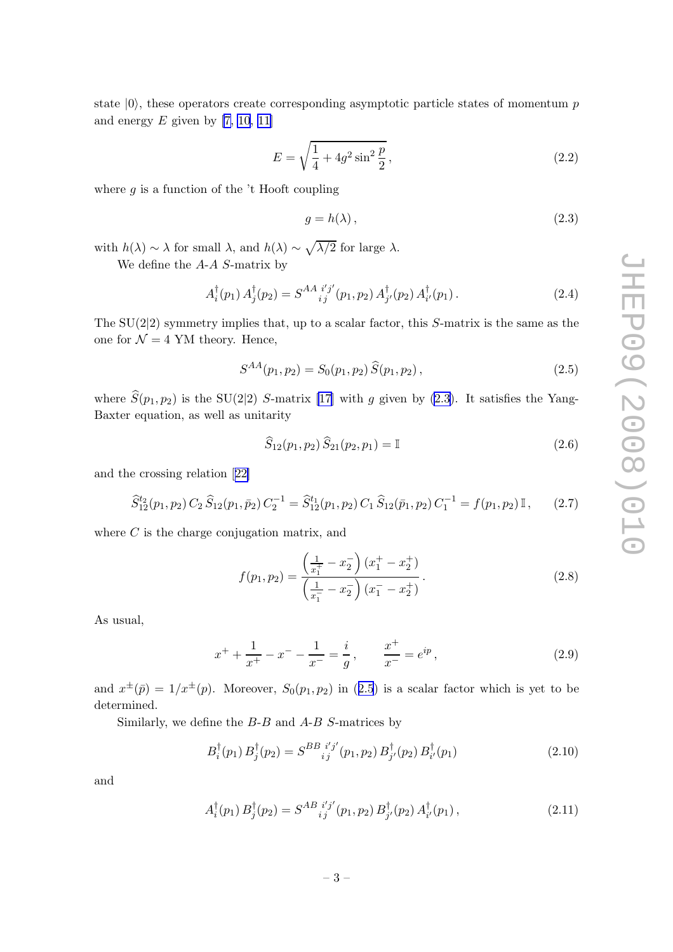<span id="page-3-0"></span>state  $|0\rangle$ , these operators create corresponding asymptotic particle states of momentum p and energy  $E$  given by [\[7, 10](#page-10-0), [11\]](#page-10-0)

$$
E = \sqrt{\frac{1}{4} + 4g^2 \sin^2 \frac{p}{2}},
$$
\n(2.2)

where  $g$  is a function of the 't Hooft coupling

$$
g = h(\lambda), \tag{2.3}
$$

with  $h(\lambda) \sim \lambda$  for small  $\lambda$ , and  $h(\lambda) \sim \sqrt{\lambda/2}$  for large  $\lambda$ .

We define the A-A S-matrix by

$$
A_i^{\dagger}(p_1) A_j^{\dagger}(p_2) = S^{AA}{}_{ij}^{i'j'}(p_1, p_2) A_{j'}^{\dagger}(p_2) A_{i'}^{\dagger}(p_1).
$$
 (2.4)

The  $SU(2|2)$  symmetry implies that, up to a scalar factor, this S-matrix is the same as the one for  $\mathcal{N} = 4$  YM theory. Hence,

$$
S^{AA}(p_1, p_2) = S_0(p_1, p_2) \widehat{S}(p_1, p_2), \qquad (2.5)
$$

where  $\hat{S}(p_1,p_2)$  is the SU(2|2) S-matrix [\[17\]](#page-10-0) with g given by (2.3). It satisfies the Yang-Baxter equation, as well as unitarity

$$
\widehat{S}_{12}(p_1, p_2) \widehat{S}_{21}(p_2, p_1) = \mathbb{I}
$$
\n(2.6)

and the crossing relation[[22\]](#page-11-0)

$$
\widehat{S}_{12}^{t_2}(p_1, p_2) C_2 \widehat{S}_{12}(p_1, \bar{p}_2) C_2^{-1} = \widehat{S}_{12}^{t_1}(p_1, p_2) C_1 \widehat{S}_{12}(\bar{p}_1, p_2) C_1^{-1} = f(p_1, p_2) \mathbb{I}, \qquad (2.7)
$$

where  $C$  is the charge conjugation matrix, and

$$
f(p_1, p_2) = \frac{\left(\frac{1}{x_1^+} - x_2^-\right)(x_1^+ - x_2^+)}{\left(\frac{1}{x_1^-} - x_2^-\right)(x_1^- - x_2^+)}.
$$
\n(2.8)

As usual,

$$
x^{+} + \frac{1}{x^{+}} - x^{-} - \frac{1}{x^{-}} = \frac{i}{g}, \qquad \frac{x^{+}}{x^{-}} = e^{ip}, \qquad (2.9)
$$

and  $x^{\pm}(\bar{p}) = 1/x^{\pm}(p)$ . Moreover,  $S_0(p_1, p_2)$  in (2.5) is a scalar factor which is yet to be determined.

Similarly, we define the  $B$ - $B$  and  $A$ - $B$  S-matrices by

$$
B_i^{\dagger}(p_1) B_j^{\dagger}(p_2) = S^{BB}{}_{ij}^{i'j'}(p_1, p_2) B_{j'}^{\dagger}(p_2) B_{i'}^{\dagger}(p_1)
$$
\n(2.10)

and

$$
A_i^{\dagger}(p_1) B_j^{\dagger}(p_2) = S^{AB}{}_{ij}^{i'j'}(p_1, p_2) B_{j'}^{\dagger}(p_2) A_{i'}^{\dagger}(p_1), \qquad (2.11)
$$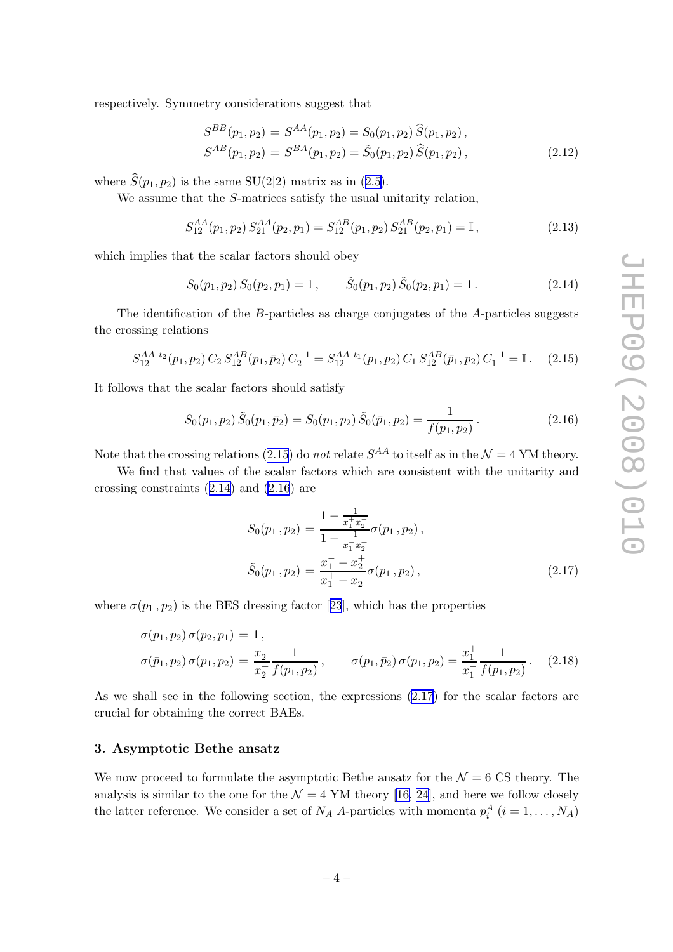<span id="page-4-0"></span>respectively. Symmetry considerations suggest that

$$
S^{BB}(p_1, p_2) = S^{AA}(p_1, p_2) = S_0(p_1, p_2) \widehat{S}(p_1, p_2),
$$
  
\n
$$
S^{AB}(p_1, p_2) = S^{BA}(p_1, p_2) = \widetilde{S}_0(p_1, p_2) \widehat{S}(p_1, p_2),
$$
\n(2.12)

where  $\widehat{S}(p_1,p_2)$  is the same SU(2|2) matrix as in ([2.5\)](#page-3-0).

We assume that the S-matrices satisfy the usual unitarity relation,

$$
S_{12}^{AA}(p_1, p_2) S_{21}^{AA}(p_2, p_1) = S_{12}^{AB}(p_1, p_2) S_{21}^{AB}(p_2, p_1) = \mathbb{I},
$$
\n(2.13)

which implies that the scalar factors should obey

$$
S_0(p_1, p_2) S_0(p_2, p_1) = 1, \qquad \tilde{S}_0(p_1, p_2) \tilde{S}_0(p_2, p_1) = 1.
$$
 (2.14)

The identification of the B-particles as charge conjugates of the A-particles suggests the crossing relations

$$
S_{12}^{AA} {}^{t_2}(p_1, p_2) C_2 S_{12}^{AB}(p_1, \bar{p}_2) C_2^{-1} = S_{12}^{AA} {}^{t_1}(p_1, p_2) C_1 S_{12}^{AB}(\bar{p}_1, p_2) C_1^{-1} = \mathbb{I}. \tag{2.15}
$$

It follows that the scalar factors should satisfy

$$
S_0(p_1, p_2) \tilde{S}_0(p_1, \bar{p}_2) = S_0(p_1, p_2) \tilde{S}_0(\bar{p}_1, p_2) = \frac{1}{f(p_1, p_2)}.
$$
\n(2.16)

Note that the crossing relations (2.15) do *not* relate  $S^{AA}$  to itself as in the  $\mathcal{N} = 4$  YM theory.

We find that values of the scalar factors which are consistent with the unitarity and crossing constraints (2.14) and (2.16) are

$$
S_0(p_1, p_2) = \frac{1 - \frac{1}{x_1^+ x_2^-}}{1 - \frac{1}{x_1^- x_2^+}} \sigma(p_1, p_2),
$$
  

$$
\tilde{S}_0(p_1, p_2) = \frac{x_1^- - x_2^+}{x_1^+ - x_2^-} \sigma(p_1, p_2),
$$
 (2.17)

where $\sigma(p_1, p_2)$  is the BES dressing factor [[23](#page-11-0)], which has the properties

$$
\sigma(p_1, p_2) \sigma(p_2, p_1) = 1,\n\sigma(\bar{p}_1, p_2) \sigma(p_1, p_2) = \frac{x_2^{-}}{x_2^{+}} \frac{1}{f(p_1, p_2)}, \qquad \sigma(p_1, \bar{p}_2) \sigma(p_1, p_2) = \frac{x_1^{+}}{x_1^{-}} \frac{1}{f(p_1, p_2)}.
$$
\n(2.18)

As we shall see in the following section, the expressions (2.17) for the scalar factors are crucial for obtaining the correct BAEs.

### 3. Asymptotic Bethe ansatz

We now proceed to formulate the asymptotic Bethe ansatz for the  $\mathcal{N}=6$  CS theory. The analysisis similar to the one for the  $\mathcal{N} = 4$  YM theory [[16,](#page-10-0) [24\]](#page-11-0), and here we follow closely the latter reference. We consider a set of  $N_A$  A-particles with momenta  $p_i^A$   $(i = 1, ..., N_A)$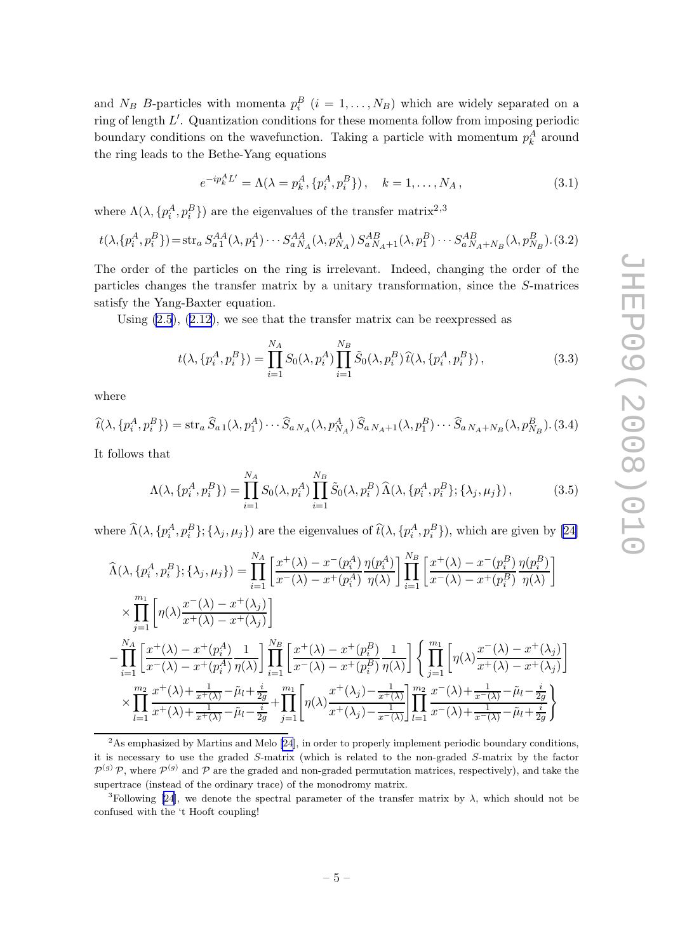<span id="page-5-0"></span>and  $N_B$  B-particles with momenta  $p_i^B$   $(i = 1, ..., N_B)$  which are widely separated on a ring of length L ′ . Quantization conditions for these momenta follow from imposing periodic boundary conditions on the wavefunction. Taking a particle with momentum  $p_k^A$  around the ring leads to the Bethe-Yang equations

$$
e^{-ip_{k}^{A}L'} = \Lambda(\lambda = p_{k}^{A}, \{p_{i}^{A}, p_{i}^{B}\}), \quad k = 1, ..., N_{A}, \qquad (3.1)
$$

where  $\Lambda(\lambda, \{p_i^A, p_i^B\})$  are the eigenvalues of the transfer matrix<sup>2,3</sup>

$$
t(\lambda, \{p_i^A, p_i^B\}) = \text{str}_a S_{a1}^{AA}(\lambda, p_1^A) \cdots S_{aN_A}^{AA}(\lambda, p_{N_A}^A) S_{aN_A+1}^{AB}(\lambda, p_1^B) \cdots S_{aN_A+N_B}^{AB}(\lambda, p_{N_B}^B)
$$
 (3.2)

The order of the particles on the ring is irrelevant. Indeed, changing the order of the particles changes the transfer matrix by a unitary transformation, since the S-matrices satisfy the Yang-Baxter equation.

Using [\(2.5](#page-3-0)), ([2.12\)](#page-4-0), we see that the transfer matrix can be reexpressed as

$$
t(\lambda, \{p_i^A, p_i^B\}) = \prod_{i=1}^{N_A} S_0(\lambda, p_i^A) \prod_{i=1}^{N_B} \tilde{S}_0(\lambda, p_i^B) \hat{t}(\lambda, \{p_i^A, p_i^B\}), \qquad (3.3)
$$

where

$$
\widehat{t}(\lambda, \{p_i^A, p_i^B\}) = \operatorname{str}_a \widehat{S}_{a1}(\lambda, p_1^A) \cdots \widehat{S}_{a N_A}(\lambda, p_{N_A}^A) \widehat{S}_{a N_A+1}(\lambda, p_1^B) \cdots \widehat{S}_{a N_A+N_B}(\lambda, p_{N_B}^B). (3.4)
$$

It follows that

$$
\Lambda(\lambda, \{p_i^A, p_i^B\}) = \prod_{i=1}^{N_A} S_0(\lambda, p_i^A) \prod_{i=1}^{N_B} \tilde{S}_0(\lambda, p_i^B) \,\hat{\Lambda}(\lambda, \{p_i^A, p_i^B\}; \{\lambda_j, \mu_j\}),\tag{3.5}
$$

where  $\widehat{\Lambda}(\lambda, \{p_i^A, p_i^B\}; {\lambda_j, \mu_j\})$  are the eigenvalues of  $\widehat{t}(\lambda, \{p_i^A, p_i^B\})$ , which are given by [\[24\]](#page-11-0)

$$
\widehat{\Lambda}(\lambda, \{p_i^A, p_i^B\}; \{\lambda_j, \mu_j\}) = \prod_{i=1}^{N_A} \left[ \frac{x^+(\lambda) - x^-(p_i^A)}{x^-(\lambda) - x^+(p_i^A)} \frac{\eta(p_i^A)}{\eta(\lambda)} \right] \prod_{i=1}^{N_B} \left[ \frac{x^+(\lambda) - x^-(p_i^B)}{x^-(\lambda) - x^+(p_i^B)} \frac{\eta(p_i^B)}{\eta(\lambda)} \right]
$$
\n
$$
\times \prod_{j=1}^{m_1} \left[ \eta(\lambda) \frac{x^-(\lambda) - x^+(\lambda_j)}{x^+(\lambda) - x^+(\lambda_j)} \right]
$$
\n
$$
- \prod_{i=1}^{N_A} \left[ \frac{x^+(\lambda) - x^+(p_i^A)}{x^-(\lambda) - x^+(p_i^A)} \frac{1}{\eta(\lambda)} \right] \prod_{i=1}^{N_B} \left[ \frac{x^+(\lambda) - x^+(p_i^B)}{x^-(\lambda) - x^+(p_i^B)} \frac{1}{\eta(\lambda)} \right] \left\{ \prod_{j=1}^{m_1} \left[ \eta(\lambda) \frac{x^-(\lambda) - x^+(\lambda_j)}{x^+(\lambda) - x^+(\lambda_j)} \right] \right\}
$$
\n
$$
\times \prod_{l=1}^{m_2} \frac{x^+(\lambda) + \frac{1}{x^+(\lambda)} - \tilde{\mu}_l + \frac{i}{2g}}{x^+(\lambda) + \frac{1}{x^+(\lambda)} - \tilde{\mu}_l - \frac{i}{2g}} + \prod_{j=1}^{m_1} \left[ \eta(\lambda) \frac{x^+(\lambda_j) - \frac{1}{x^+(\lambda_j)}}{x^+(\lambda_j) - \frac{1}{x^-(\lambda)}} \right] \prod_{l=1}^{m_2} \frac{x^-(\lambda) + \frac{1}{x^-(\lambda)} - \tilde{\mu}_l - \frac{i}{2g}}{x^-(\lambda) + \frac{1}{x^-(\lambda)} - \tilde{\mu}_l + \frac{i}{2g}} \right\}
$$

 ${}^{2}$ As emphasized by Martins and Melo [\[24](#page-11-0)], in order to properly implement periodic boundary conditions, it is necessary to use the graded S-matrix (which is related to the non-graded S-matrix by the factor  $\mathcal{P}^{(g)}$  P, where  $\mathcal{P}^{(g)}$  and P are the graded and non-graded permutation matrices, respectively), and take the supertrace (instead of the ordinary trace) of the monodromy matrix.

<sup>3</sup>Following[[24\]](#page-11-0), we denote the spectral parameter of the transfer matrix by  $\lambda$ , which should not be confused with the 't Hooft coupling!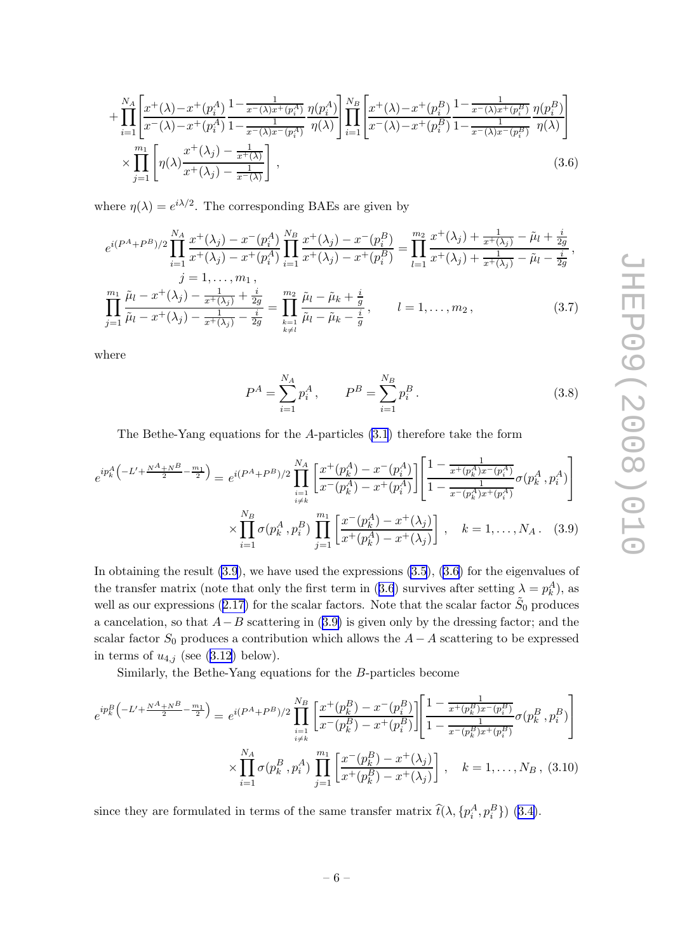<span id="page-6-0"></span>
$$
+\prod_{i=1}^{N_A} \left[ \frac{x^+(\lambda) - x^+(\mathbf{p}_i^A)}{x^-(\lambda) - x^+(\mathbf{p}_i^A)} \frac{1 - \frac{1}{x^-(\lambda)x^+(\mathbf{p}_i^A)}}{1 - \frac{1}{x^-(\lambda)x^-(\mathbf{p}_i^A)}} \frac{\eta(\mathbf{p}_i^A)}{\eta(\lambda)} \right] \prod_{i=1}^{N_B} \left[ \frac{x^+(\lambda) - x^+(\mathbf{p}_i^B)}{x^-(\lambda) - x^+(\mathbf{p}_i^B)} \frac{1 - \frac{1}{x^-(\lambda)x^+(\mathbf{p}_i^B)}}{1 - \frac{1}{x^-(\lambda)x^-(\mathbf{p}_i^B)}} \frac{\eta(\mathbf{p}_i^B)}{\eta(\lambda)} \right] \times \prod_{j=1}^{m_1} \left[ \eta(\lambda) \frac{x^+(\lambda_j) - \frac{1}{x^+(\lambda)}}{x^+(\lambda_j) - \frac{1}{x^-(\lambda)}} \right],
$$
\n(3.6)

where  $\eta(\lambda) = e^{i\lambda/2}$ . The corresponding BAEs are given by

$$
e^{i(P^A + P^B)/2} \prod_{i=1}^{N_A} \frac{x^+(\lambda_j) - x^-(p_i^A)}{x^+(\lambda_j) - x^+(p_i^A)} \prod_{i=1}^{N_B} \frac{x^+(\lambda_j) - x^-(p_i^B)}{x^+(\lambda_j) - x^+(p_i^B)} = \prod_{l=1}^{m_2} \frac{x^+(\lambda_j) + \frac{1}{x^+(\lambda_j)} - \tilde{\mu}_l + \frac{i}{2g}}{x^+(\lambda_j) + \frac{1}{x^+(\lambda_j)} - \tilde{\mu}_l - \frac{i}{2g}},
$$
  
\n $j = 1, \dots, m_1,$ 

$$
\prod_{j=1}^{m_1} \frac{\tilde{\mu}_l - x^+(\lambda_j) - \frac{1}{x^+(\lambda_j)} + \frac{i}{2g}}{\tilde{\mu}_l - x^+(\lambda_j) - \frac{1}{x^+(\lambda_j)} - \frac{i}{2g}} = \prod_{\substack{k=1 \ k \neq l}}^{m_2} \frac{\tilde{\mu}_l - \tilde{\mu}_k + \frac{i}{g}}{\tilde{\mu}_l - \tilde{\mu}_k - \frac{i}{g}}, \qquad l = 1, \dots, m_2,
$$
\n(3.7)

where

$$
P^{A} = \sum_{i=1}^{N_{A}} p_{i}^{A}, \qquad P^{B} = \sum_{i=1}^{N_{B}} p_{i}^{B}. \qquad (3.8)
$$

The Bethe-Yang equations for the A-particles [\(3.1](#page-5-0)) therefore take the form

$$
e^{ip_k^A \left(-L' + \frac{N^A + N^B}{2} - \frac{m_1}{2}\right)} = e^{i(P^A + P^B)/2} \prod_{\substack{i=1 \ i \neq k}}^{N_A} \left[\frac{x^+(p_k^A) - x^-(p_i^A)}{x^-(p_k^A) - x^+(p_i^A)}\right] \left[\frac{1 - \frac{1}{x^+(p_k^A)x^-(p_i^A)}}{1 - \frac{1}{x^-(p_k^A)x^+(p_i^A)}} \sigma(p_k^A, p_i^A)\right]
$$

$$
\times \prod_{i=1}^{N_B} \sigma(p_k^A, p_i^B) \prod_{j=1}^{m_1} \left[\frac{x^-(p_k^A) - x^+(\lambda_j)}{x^+(p_k^A) - x^+(\lambda_j)}\right], \quad k = 1, \dots, N_A. \quad (3.9)
$$

In obtaining the result (3.9), we have used the expressions [\(3.5](#page-5-0)), (3.6) for the eigenvalues of the transfer matrix (note that only the first term in (3.6) survives after setting  $\lambda = p_k^A$ ), as well as our expressions ([2.17\)](#page-4-0) for the scalar factors. Note that the scalar factor  $\tilde{S}_0$  produces a cancelation, so that  $A-B$  scattering in  $(3.9)$  is given only by the dressing factor; and the scalar factor  $S_0$  produces a contribution which allows the  $A - A$  scattering to be expressed in terms of  $u_{4,j}$  (see ([3.12\)](#page-7-0) below).

Similarly, the Bethe-Yang equations for the B-particles become

$$
e^{ip_k^B \left(-L' + \frac{N^A + N^B}{2} - \frac{m_1}{2}\right)} = e^{i(P^A + P^B)/2} \prod_{\substack{i=1 \ i \neq k}}^{N_B} \left[ \frac{x^+(p_k^B) - x^-(p_i^B)}{x^-(p_k^B) - x^+(p_i^B)} \right] \left[ \frac{1 - \frac{1}{x^+(p_k^B)x^-(p_i^B)}}{1 - \frac{1}{x^-(p_k^B)x^+(p_i^B)}} \sigma(p_k^B, p_i^B) \right]
$$

$$
\times \prod_{i=1}^{N_A} \sigma(p_k^B, p_i^A) \prod_{j=1}^{m_1} \left[ \frac{x^-(p_k^B) - x^+(\lambda_j)}{x^+(p_k^B) - x^+(\lambda_j)} \right], \quad k = 1, \dots, N_B, (3.10)
$$

since they are formulated in terms of the same transfer matrix  $\hat{t}(\lambda, \{p_i^A, p_i^B\})$  ([3.4\)](#page-5-0).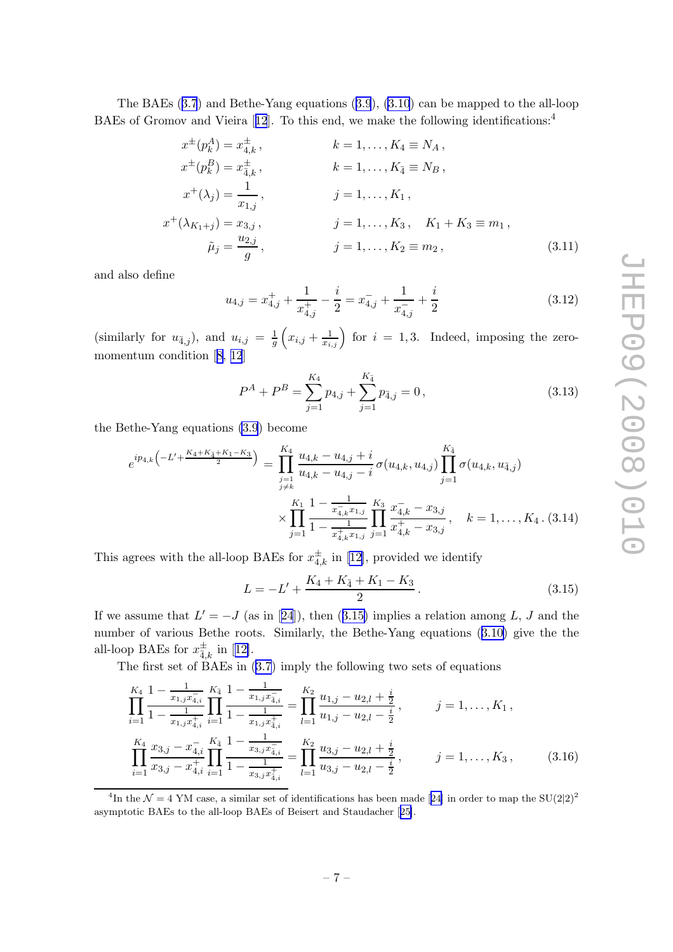<span id="page-7-0"></span>The BAEs ([3.7](#page-6-0)) and Bethe-Yang equations ([3.9](#page-6-0)), [\(3.10](#page-6-0)) can be mapped to the all-loop BAEsof Gromov and Vieira [[12](#page-10-0)]. To this end, we make the following identifications:<sup>4</sup>

$$
x^{\pm}(p_k^A) = x_{4,k}^{\pm}, \qquad k = 1, ..., K_4 \equiv N_A, \n x^{\pm}(p_k^B) = x_{4,k}^{\pm}, \qquad k = 1, ..., K_{\bar{A}} \equiv N_B, \n x^{\pm}(\lambda_j) = \frac{1}{x_{1,j}}, \qquad j = 1, ..., K_1, \n x^{\pm}(\lambda_{K_1+j}) = x_{3,j}, \qquad j = 1, ..., K_3, \quad K_1 + K_3 \equiv m_1, \n \tilde{\mu}_j = \frac{u_{2,j}}{g}, \qquad j = 1, ..., K_2 \equiv m_2, \qquad (3.11)
$$

and also define

$$
u_{4,j} = x_{4,j}^+ + \frac{1}{x_{4,j}^+} - \frac{i}{2} = x_{4,j}^- + \frac{1}{x_{4,j}^-} + \frac{i}{2}
$$
\n
$$
(3.12)
$$

(similarly for  $u_{\bar{4},j}$ ), and  $u_{i,j} = \frac{1}{q}$ g  $\left(x_{i,j} + \frac{1}{x_{i,j}}\right)$  for  $i = 1,3$ . Indeed, imposing the zeromomentum condition[[8, 12](#page-10-0)]

$$
P^{A} + P^{B} = \sum_{j=1}^{K_4} p_{4,j} + \sum_{j=1}^{K_4} p_{4,j} = 0, \qquad (3.13)
$$

the Bethe-Yang equations [\(3.9](#page-6-0)) become

$$
e^{ip_{4,k}\left(-L' + \frac{K_4 + K_4 + K_1 - K_3}{2}\right)} = \prod_{\substack{j=1 \ j \neq k}}^{K_4} \frac{u_{4,k} - u_{4,j} + i}{u_{4,k} - u_{4,j} - i} \sigma(u_{4,k}, u_{4,j}) \prod_{j=1}^{K_4} \sigma(u_{4,k}, u_{4,j})
$$

$$
\times \prod_{j=1}^{K_1} \frac{1 - \frac{1}{x_{4,k}^2 x_{1,j}}}{1 - \frac{1}{x_{4,k}^4 x_{1,j}}} \prod_{j=1}^{K_3} \frac{x_{4,k}^2 - x_{3,j}}{x_{4,k}^4 - x_{3,j}}, \quad k = 1, \dots, K_4 \tag{3.14}
$$

This agrees with the all-loop BAEs for  $x_{4,k}^{\pm}$  in [\[12\]](#page-10-0), provided we identify

$$
L = -L' + \frac{K_4 + K_{\bar{4}} + K_1 - K_3}{2}.
$$
\n(3.15)

Ifwe assume that  $L' = -J$  (as in [[24](#page-11-0)]), then (3.15) implies a relation among L, J and the number of various Bethe roots. Similarly, the Bethe-Yang equations ([3.10\)](#page-6-0) give the the all-loopBAEs for  $x^{\pm}_{\overline{4},k}$  in [[12\]](#page-10-0).

The first set of  $BAEs$  in  $(3.7)$  $(3.7)$  imply the following two sets of equations

$$
\prod_{i=1}^{K_4} \frac{1 - \frac{1}{x_{1,j}x_{4,i}^-}}{1 - \frac{1}{x_{1,j}x_{4,i}^+}} \prod_{i=1}^{K_4} \frac{1 - \frac{1}{x_{1,j}x_{4,i}^-}}{1 - \frac{1}{x_{1,j}x_{4,i}^+}} = \prod_{l=1}^{K_2} \frac{u_{1,j} - u_{2,l} + \frac{i}{2}}{u_{1,j} - u_{2,l} - \frac{i}{2}}, \qquad j = 1, \dots, K_1,
$$
\n
$$
\prod_{i=1}^{K_4} \frac{x_{3,j} - x_{4,i}^-}{x_{3,j} - x_{4,i}^+} \prod_{i=1}^{K_4} \frac{1 - \frac{1}{x_{3,j}x_{4,i}^-}}{1 - \frac{1}{x_{3,j}x_{4,i}^+}} = \prod_{l=1}^{K_2} \frac{u_{3,j} - u_{2,l} + \frac{i}{2}}{u_{3,j} - u_{2,l} - \frac{i}{2}}, \qquad j = 1, \dots, K_3,
$$
\n
$$
(3.16)
$$

<sup>4</sup>Inthe  $\mathcal{N} = 4$  YM case, a similar set of identifications has been made [[24\]](#page-11-0) in order to map the SU(2|2)<sup>2</sup> asymptotic BAEs to the all-loop BAEs of Beisert and Staudacher[[25\]](#page-11-0).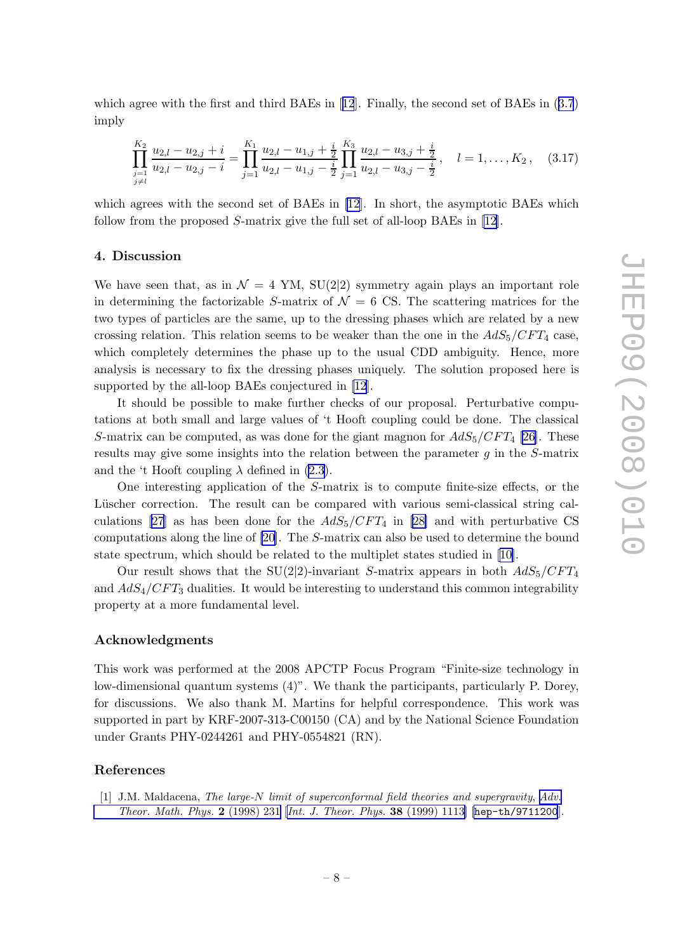<span id="page-8-0"></span>which agree with the first and third BAEs in[[12](#page-10-0)]. Finally, the second set of BAEs in ([3.7](#page-6-0)) imply

$$
\prod_{\substack{j=1 \ j \neq l}}^{K_2} \frac{u_{2,l} - u_{2,j} + i}{u_{2,l} - u_{2,j} - i} = \prod_{j=1}^{K_1} \frac{u_{2,l} - u_{1,j} + \frac{i}{2}}{u_{2,l} - u_{1,j} - \frac{i}{2}} \prod_{j=1}^{K_3} \frac{u_{2,l} - u_{3,j} + \frac{i}{2}}{u_{2,l} - u_{3,j} - \frac{i}{2}}, \quad l = 1, \dots, K_2, \quad (3.17)
$$

which agrees with the second set of BAEs in [\[12](#page-10-0)]. In short, the asymptotic BAEs which follow from the proposed S-matrix give the full set of all-loop BAEs in [\[12\]](#page-10-0).

### 4. Discussion

We have seen that, as in  $\mathcal{N} = 4$  YM, SU(2|2) symmetry again plays an important role in determining the factorizable S-matrix of  $\mathcal{N} = 6$  CS. The scattering matrices for the two types of particles are the same, up to the dressing phases which are related by a new crossing relation. This relation seems to be weaker than the one in the  $AdS_5/CFT_4$  case, which completely determines the phase up to the usual CDD ambiguity. Hence, more analysis is necessary to fix the dressing phases uniquely. The solution proposed here is supported by the all-loop BAEs conjectured in [\[12](#page-10-0)].

It should be possible to make further checks of our proposal. Perturbative computations at both small and large values of 't Hooft coupling could be done. The classical S-matrix can be computed, as was done for the giant magnon for  $AdS_5/CFT_4$  [\[26](#page-11-0)]. These results may give some insights into the relation between the parameter  $q$  in the S-matrix and the 't Hooft coupling  $\lambda$  defined in [\(2.3\)](#page-3-0).

One interesting application of the S-matrix is to compute finite-size effects, or the Lüscher correction. The result can be compared with various semi-classical string cal-culations [\[27\]](#page-11-0)as has been done for the  $AdS_5/CFT_4$  in [[28\]](#page-11-0) and with perturbative CS computations along the line of [\[20](#page-10-0)]. The S-matrix can also be used to determine the bound state spectrum, which should be related to the multiplet states studied in[[10\]](#page-10-0).

Our result shows that the SU(2|2)-invariant S-matrix appears in both  $AdS_5/CFT_4$ and  $AdS_4/CFT_3$  dualities. It would be interesting to understand this common integrability property at a more fundamental level.

## Acknowledgments

This work was performed at the 2008 APCTP Focus Program "Finite-size technology in low-dimensional quantum systems (4)". We thank the participants, particularly P. Dorey, for discussions. We also thank M. Martins for helpful correspondence. This work was supported in part by KRF-2007-313-C00150 (CA) and by the National Science Foundation under Grants PHY-0244261 and PHY-0554821 (RN).

#### References

[1] J.M. Maldacena, The large-N limit of superconformal field theories and supergravity, [Adv.](http://www-spires.slac.stanford.edu/spires/find/hep/www?j=00203%2C2%2C231) [Theor. Math. Phys.](http://www-spires.slac.stanford.edu/spires/find/hep/www?j=00203%2C2%2C231) 2 (1998) 231 [[Int. J. Theor. Phys.](http://www-spires.slac.stanford.edu/spires/find/hep/www?j=IJTPB%2C38%2C1113) 38 (1999) 1113] [[hep-th/9711200](http://arxiv.org/abs/hep-th/9711200)].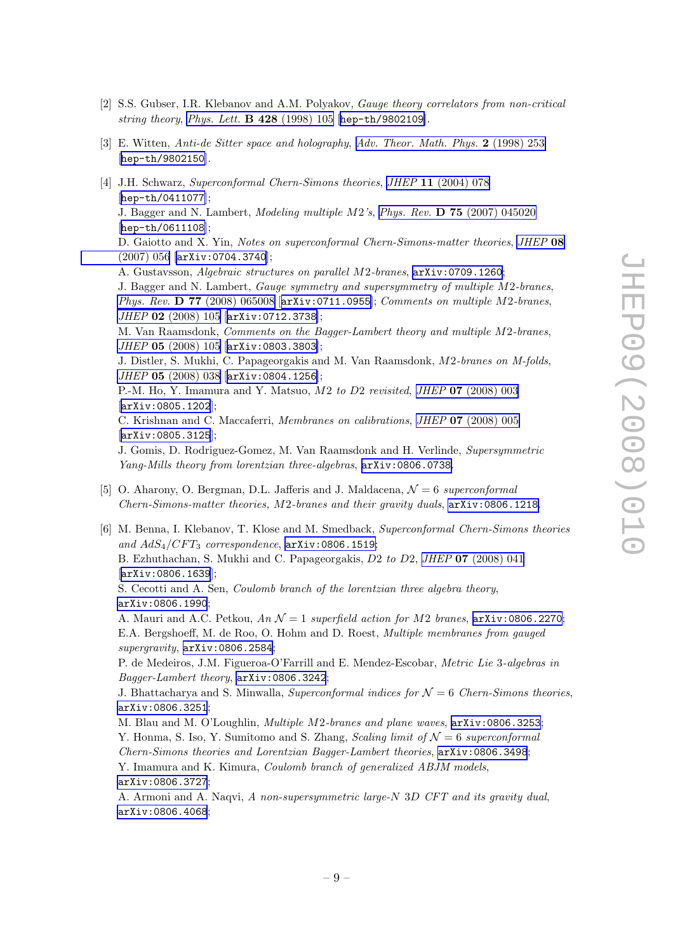- <span id="page-9-0"></span>[2] S.S. Gubser, I.R. Klebanov and A.M. Polyakov, Gauge theory correlators from non-critical string theory, [Phys. Lett.](http://www-spires.slac.stanford.edu/spires/find/hep/www?j=PHLTA%2CB428%2C105) B 428 (1998) 105 [[hep-th/9802109](http://arxiv.org/abs/hep-th/9802109)].
- [3] E. Witten, Anti-de Sitter space and holography, [Adv. Theor. Math. Phys.](http://www-spires.slac.stanford.edu/spires/find/hep/www?j=00203%2C2%2C253) 2 (1998) 253 [[hep-th/9802150](http://arxiv.org/abs/hep-th/9802150)].
- [4] J.H. Schwarz, Superconformal Chern-Simons theories, JHEP 11 [\(2004\) 078](http://jhep.sissa.it/stdsearch?paper=11%282004%29078) [[hep-th/0411077](http://arxiv.org/abs/hep-th/0411077)]; J. Bagger and N. Lambert, Modeling multiple M2's, Phys. Rev. D 75 [\(2007\) 045020](http://www-spires.slac.stanford.edu/spires/find/hep/www?j=PHRVA%2CD75%2C045020) [[hep-th/0611108](http://arxiv.org/abs/hep-th/0611108)]; D. Gaiotto and X. Yin, Notes on superconformal Chern-Simons-matter theories, [JHEP](http://jhep.sissa.it/stdsearch?paper=08%282007%29056) 08 [\(2007\) 056](http://jhep.sissa.it/stdsearch?paper=08%282007%29056) [[arXiv:0704.3740](http://arxiv.org/abs/0704.3740)]; A. Gustavsson, Algebraic structures on parallel M2-branes, [arXiv:0709.1260](http://arxiv.org/abs/0709.1260); J. Bagger and N. Lambert, Gauge symmetry and supersymmetry of multiple M2-branes, Phys. Rev. **D 77** [\(2008\) 065008](http://www-spires.slac.stanford.edu/spires/find/hep/www?j=PHRVA%2CD77%2C065008) [arXiv: 0711.0955]; Comments on multiple M2-branes, JHEP 02 [\(2008\) 105](http://jhep.sissa.it/stdsearch?paper=02%282008%29105) [[arXiv:0712.3738](http://arxiv.org/abs/0712.3738)]; M. Van Raamsdonk, Comments on the Bagger-Lambert theory and multiple M2-branes, JHEP 05 [\(2008\) 105](http://jhep.sissa.it/stdsearch?paper=05%282008%29105) [[arXiv:0803.3803](http://arxiv.org/abs/0803.3803)]; J. Distler, S. Mukhi, C. Papageorgakis and M. Van Raamsdonk, M2-branes on M-folds, JHEP 05 [\(2008\) 038](http://jhep.sissa.it/stdsearch?paper=05%282008%29038) [[arXiv:0804.1256](http://arxiv.org/abs/0804.1256)]; P.-M. Ho, Y. Imamura and Y. Matsuo, M2 to D2 revisited, JHEP 07 [\(2008\) 003](http://jhep.sissa.it/stdsearch?paper=07%282008%29003) [[arXiv:0805.1202](http://arxiv.org/abs/0805.1202)]; C. Krishnan and C. Maccaferri, Membranes on calibrations, JHEP 07 [\(2008\) 005](http://jhep.sissa.it/stdsearch?paper=07%282008%29005) [[arXiv:0805.3125](http://arxiv.org/abs/0805.3125)]; J. Gomis, D. Rodriguez-Gomez, M. Van Raamsdonk and H. Verlinde, Supersymmetric Yang-Mills theory from lorentzian three-algebras, [arXiv:0806.0738](http://arxiv.org/abs/0806.0738). [5] O. Aharony, O. Bergman, D.L. Jafferis and J. Maldacena,  $\mathcal{N}=6$  superconformal Chern-Simons-matter theories, M2-branes and their gravity duals, [arXiv:0806.1218](http://arxiv.org/abs/0806.1218).
- [6] M. Benna, I. Klebanov, T. Klose and M. Smedback, Superconformal Chern-Simons theories and  $AdS_4/CFT_3$  correspondence,  $arXiv:0806.1519;$  $arXiv:0806.1519;$ B. Ezhuthachan, S. Mukhi and C. Papageorgakis, D2 to D2, JHEP 07 [\(2008\) 041](http://jhep.sissa.it/stdsearch?paper=07%282008%29041) [[arXiv:0806.1639](http://arxiv.org/abs/0806.1639)]; S. Cecotti and A. Sen, Coulomb branch of the lorentzian three algebra theory, [arXiv:0806.1990](http://arxiv.org/abs/0806.1990); A. Mauri and A.C. Petkou,  $An \mathcal{N}=1$  superfield action for M2 branes,  $arXiv:0806.2270$ ; E.A. Bergshoeff, M. de Roo, O. Hohm and D. Roest, Multiple membranes from gauged supergravity,  $arXiv:0806.2584;$  $arXiv:0806.2584;$ P. de Medeiros, J.M. Figueroa-O'Farrill and E. Mendez-Escobar, Metric Lie 3-algebras in Bagger-Lambert theory, [arXiv:0806.3242](http://arxiv.org/abs/0806.3242); J. Bhattacharya and S. Minwalla, Superconformal indices for  $\mathcal{N}=6$  Chern-Simons theories, [arXiv:0806.3251](http://arxiv.org/abs/0806.3251);

M. Blau and M. O'Loughlin, Multiple M2-branes and plane waves, [arXiv:0806.3253](http://arxiv.org/abs/0806.3253); Y. Honma, S. Iso, Y. Sumitomo and S. Zhang, Scaling limit of  $\mathcal{N}=6$  superconformal Chern-Simons theories and Lorentzian Bagger-Lambert theories, [arXiv:0806.3498](http://arxiv.org/abs/0806.3498); Y. Imamura and K. Kimura, Coulomb branch of generalized ABJM models, [arXiv:0806.3727](http://arxiv.org/abs/0806.3727);

A. Armoni and A. Naqvi, A non-supersymmetric large-N 3D CFT and its gravity dual, [arXiv:0806.4068](http://arxiv.org/abs/0806.4068);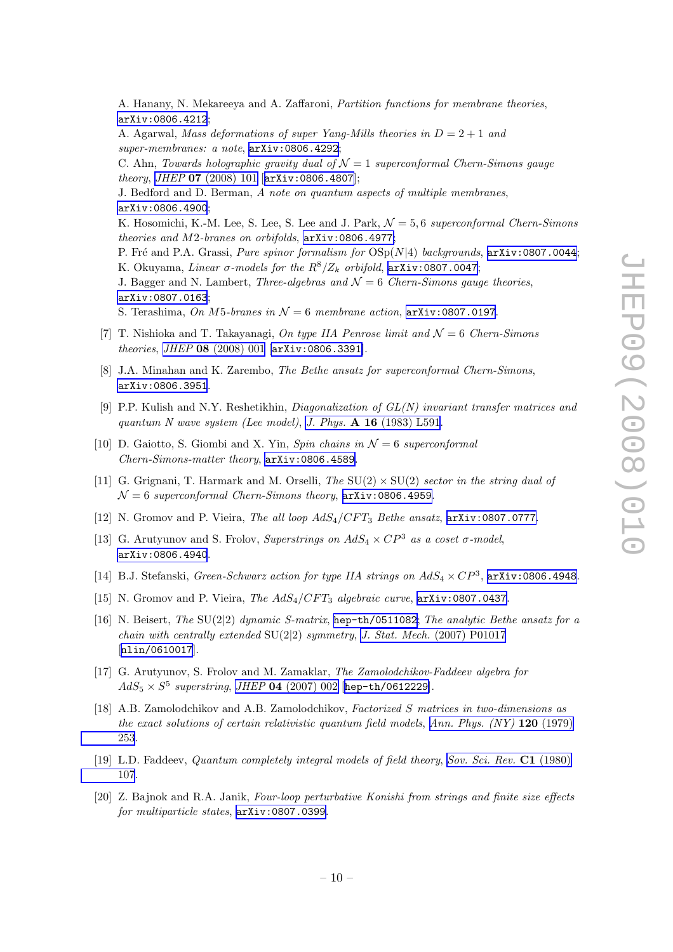<span id="page-10-0"></span>A. Hanany, N. Mekareeya and A. Zaffaroni, Partition functions for membrane theories, [arXiv:0806.4212](http://arxiv.org/abs/0806.4212);

A. Agarwal, Mass deformations of super Yang-Mills theories in  $D = 2 + 1$  and super-membranes: a note, [arXiv:0806.4292](http://arxiv.org/abs/0806.4292);

C. Ahn, Towards holographic gravity dual of  $\mathcal{N}=1$  superconformal Chern-Simons gauge theory, JHEP 07 [\(2008\) 101](http://jhep.sissa.it/stdsearch?paper=07%282008%29101) [[arXiv:0806.4807](http://arxiv.org/abs/0806.4807)];

J. Bedford and D. Berman, A note on quantum aspects of multiple membranes, [arXiv:0806.4900](http://arxiv.org/abs/0806.4900);

K. Hosomichi, K.-M. Lee, S. Lee, S. Lee and J. Park,  $\mathcal{N}=5.6$  superconformal Chern-Simons theories and M2-branes on orbifolds, [arXiv:0806.4977](http://arxiv.org/abs/0806.4977);

P. Fré and P.A. Grassi, *Pure spinor formalism for*  $OSp(N|4)$  backgrounds,  $arXiv:0807.0044$ ; K. Okuyama, Linear σ-models for the  $R^8/Z_k$  orbifold, [arXiv:0807.0047](http://arxiv.org/abs/0807.0047);

J. Bagger and N. Lambert, *Three-algebras and*  $\mathcal{N}=6$  Chern-Simons gauge theories, [arXiv:0807.0163](http://arxiv.org/abs/0807.0163);

S. Terashima, On M5-branes in  $\mathcal{N}=6$  membrane action,  $arXiv:0807.0197$ .

- [7] T. Nishioka and T. Takayanagi, On type IIA Penrose limit and  $\mathcal{N}=6$  Chern-Simons theories, JHEP 08 [\(2008\) 001](http://jhep.sissa.it/stdsearch?paper=08%282008%29001) [[arXiv:0806.3391](http://arxiv.org/abs/0806.3391)].
- [8] J.A. Minahan and K. Zarembo, The Bethe ansatz for superconformal Chern-Simons, [arXiv:0806.3951](http://arxiv.org/abs/0806.3951).
- [9] P.P. Kulish and N.Y. Reshetikhin, Diagonalization of GL(N) invariant transfer matrices and quantum N wave system (Lee model), J. Phys.  $\mathbf{A}$  16 [\(1983\) L591](http://www-spires.slac.stanford.edu/spires/find/hep/www?j=JPAGB%2CA16%2CL591).
- [10] D. Gaiotto, S. Giombi and X. Yin, Spin chains in  $\mathcal{N}=6$  superconformal Chern-Simons-matter theory, [arXiv:0806.4589](http://arxiv.org/abs/0806.4589).
- [11] G. Grignani, T. Harmark and M. Orselli, The  $SU(2) \times SU(2)$  sector in the string dual of  $\mathcal{N}=6$  superconformal Chern-Simons theory,  $\Delta$ xiv:0806.4959.
- [12] N. Gromov and P. Vieira, The all loop  $AdS_4/CFT_3$  Bethe ansatz,  $arXiv:0807.0777$ .
- [13] G. Arutyunov and S. Frolov, Superstrings on  $AdS_4 \times CP^3$  as a coset  $\sigma$ -model, [arXiv:0806.4940](http://arxiv.org/abs/0806.4940).
- [14] B.J. Stefanski, Green-Schwarz action for type IIA strings on  $AdS_4 \times CP^3$ , [arXiv:0806.4948](http://arxiv.org/abs/0806.4948).
- [15] N. Gromov and P. Vieira, The  $AdS_4/CFT_3$  algebraic curve,  $arXiv:0807.0437$ .
- [16] N. Beisert, The SU(2|2) dynamic S-matrix, [hep-th/0511082](http://arxiv.org/abs/hep-th/0511082); The analytic Bethe ansatz for a chain with centrally extended  $SU(2|2)$  symmetry, J. Stat. Mech. [\(2007\) P01017](http://www-spires.slac.stanford.edu/spires/find/hep/www?j=JSTAT%2C0701%2CP017) [[nlin/0610017](http://arxiv.org/abs/nlin/0610017)].
- [17] G. Arutyunov, S. Frolov and M. Zamaklar, The Zamolodchikov-Faddeev algebra for  $AdS_5 \times S^5$  superstring, JHEP 04 [\(2007\) 002](http://jhep.sissa.it/stdsearch?paper=04%282007%29002) [[hep-th/0612229](http://arxiv.org/abs/hep-th/0612229)].
- [18] A.B. Zamolodchikov and A.B. Zamolodchikov, Factorized S matrices in two-dimensions as the exact solutions of certain relativistic quantum field models, Ann. Phys.  $(NY)$  120 (1979) [253](http://www-spires.slac.stanford.edu/spires/find/hep/www?j=APNYA%2C120%2C253).
- [19] L.D. Faddeev, Quantum completely integral models of field theory, [Sov. Sci. Rev.](http://www-spires.slac.stanford.edu/spires/find/hep/www?j=SSRWA%2CC1%2C107) C1 (1980) [107](http://www-spires.slac.stanford.edu/spires/find/hep/www?j=SSRWA%2CC1%2C107).
- [20] Z. Bajnok and R.A. Janik, Four-loop perturbative Konishi from strings and finite size effects for multiparticle states, [arXiv:0807.0399](http://arxiv.org/abs/0807.0399).